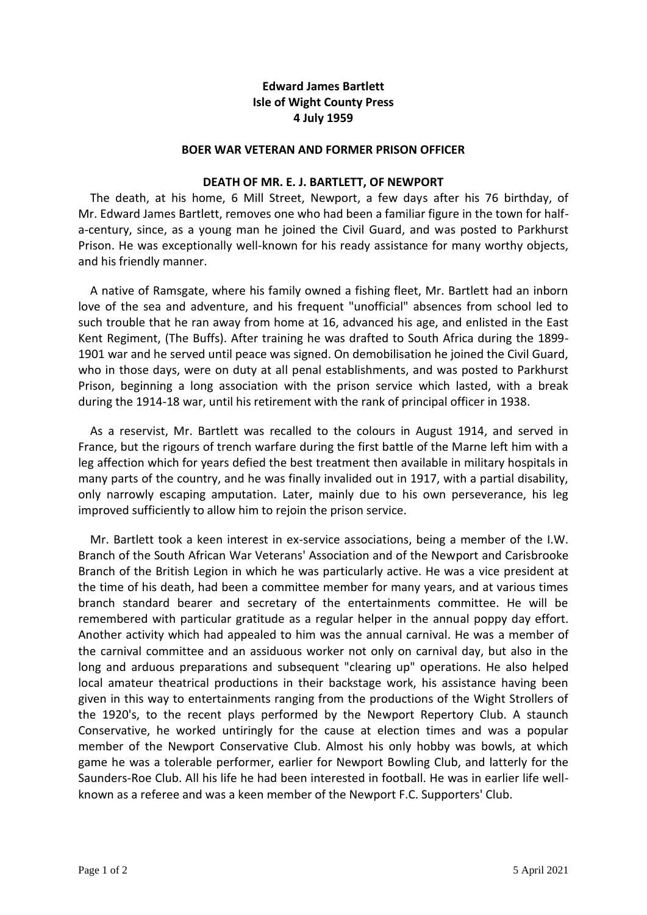# **Edward James Bartlett Isle of Wight County Press 4 July 1959**

#### **BOER WAR VETERAN AND FORMER PRISON OFFICER**

#### **DEATH OF MR. E. J. BARTLETT, OF NEWPORT**

The death, at his home, 6 Mill Street, Newport, a few days after his 76 birthday, of Mr. Edward James Bartlett, removes one who had been a familiar figure in the town for halfa-century, since, as a young man he joined the Civil Guard, and was posted to Parkhurst Prison. He was exceptionally well-known for his ready assistance for many worthy objects, and his friendly manner.

 A native of Ramsgate, where his family owned a fishing fleet, Mr. Bartlett had an inborn love of the sea and adventure, and his frequent "unofficial" absences from school led to such trouble that he ran away from home at 16, advanced his age, and enlisted in the East Kent Regiment, (The Buffs). After training he was drafted to South Africa during the 1899- 1901 war and he served until peace was signed. On demobilisation he joined the Civil Guard, who in those days, were on duty at all penal establishments, and was posted to Parkhurst Prison, beginning a long association with the prison service which lasted, with a break during the 1914-18 war, until his retirement with the rank of principal officer in 1938.

 As a reservist, Mr. Bartlett was recalled to the colours in August 1914, and served in France, but the rigours of trench warfare during the first battle of the Marne left him with a leg affection which for years defied the best treatment then available in military hospitals in many parts of the country, and he was finally invalided out in 1917, with a partial disability, only narrowly escaping amputation. Later, mainly due to his own perseverance, his leg improved sufficiently to allow him to rejoin the prison service.

 Mr. Bartlett took a keen interest in ex-service associations, being a member of the I.W. Branch of the South African War Veterans' Association and of the Newport and Carisbrooke Branch of the British Legion in which he was particularly active. He was a vice president at the time of his death, had been a committee member for many years, and at various times branch standard bearer and secretary of the entertainments committee. He will be remembered with particular gratitude as a regular helper in the annual poppy day effort. Another activity which had appealed to him was the annual carnival. He was a member of the carnival committee and an assiduous worker not only on carnival day, but also in the long and arduous preparations and subsequent "clearing up" operations. He also helped local amateur theatrical productions in their backstage work, his assistance having been given in this way to entertainments ranging from the productions of the Wight Strollers of the 1920's, to the recent plays performed by the Newport Repertory Club. A staunch Conservative, he worked untiringly for the cause at election times and was a popular member of the Newport Conservative Club. Almost his only hobby was bowls, at which game he was a tolerable performer, earlier for Newport Bowling Club, and latterly for the Saunders-Roe Club. All his life he had been interested in football. He was in earlier life wellknown as a referee and was a keen member of the Newport F.C. Supporters' Club.